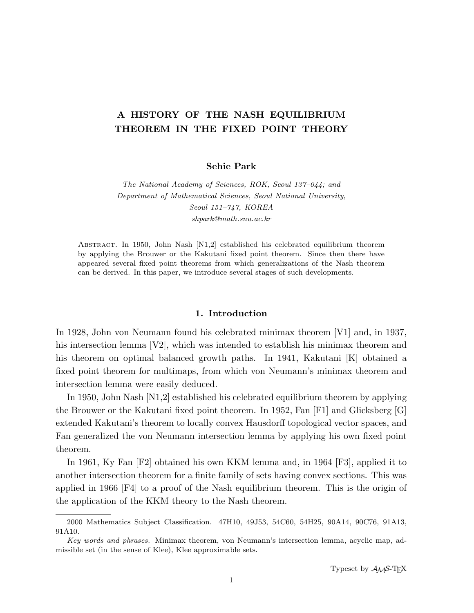# A HISTORY OF THE NASH EQUILIBRIUM THEOREM IN THE FIXED POINT THEORY

Sehie Park

The National Academy of Sciences, ROK, Seoul 137–044; and Department of Mathematical Sciences, Seoul National University, Seoul 151–747, KOREA shpark@math.snu.ac.kr

Abstract. In 1950, John Nash [N1,2] established his celebrated equilibrium theorem by applying the Brouwer or the Kakutani fixed point theorem. Since then there have appeared several fixed point theorems from which generalizations of the Nash theorem can be derived. In this paper, we introduce several stages of such developments.

# 1. Introduction

In 1928, John von Neumann found his celebrated minimax theorem [V1] and, in 1937, his intersection lemma [V2], which was intended to establish his minimax theorem and his theorem on optimal balanced growth paths. In 1941, Kakutani [K] obtained a fixed point theorem for multimaps, from which von Neumann's minimax theorem and intersection lemma were easily deduced.

In 1950, John Nash [N1,2] established his celebrated equilibrium theorem by applying the Brouwer or the Kakutani fixed point theorem. In 1952, Fan [F1] and Glicksberg [G] extended Kakutani's theorem to locally convex Hausdorff topological vector spaces, and Fan generalized the von Neumann intersection lemma by applying his own fixed point theorem.

In 1961, Ky Fan [F2] obtained his own KKM lemma and, in 1964 [F3], applied it to another intersection theorem for a finite family of sets having convex sections. This was applied in 1966 [F4] to a proof of the Nash equilibrium theorem. This is the origin of the application of the KKM theory to the Nash theorem.

<sup>2000</sup> Mathematics Subject Classification. 47H10, 49J53, 54C60, 54H25, 90A14, 90C76, 91A13, 91A10.

Key words and phrases. Minimax theorem, von Neumann's intersection lemma, acyclic map, admissible set (in the sense of Klee), Klee approximable sets.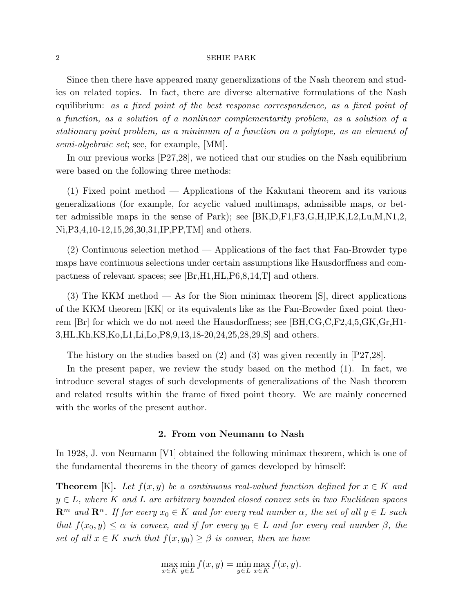Since then there have appeared many generalizations of the Nash theorem and studies on related topics. In fact, there are diverse alternative formulations of the Nash equilibrium: as a fixed point of the best response correspondence, as a fixed point of a function, as a solution of a nonlinear complementarity problem, as a solution of a stationary point problem, as a minimum of a function on a polytope, as an element of semi-algebraic set; see, for example, [MM].

In our previous works [P27,28], we noticed that our studies on the Nash equilibrium were based on the following three methods:

(1) Fixed point method — Applications of the Kakutani theorem and its various generalizations (for example, for acyclic valued multimaps, admissible maps, or better admissible maps in the sense of Park); see [BK,D,F1,F3,G,H,IP,K,L2,Lu,M,N1,2, Ni,P3,4,10-12,15,26,30,31,IP,PP,TM] and others.

(2) Continuous selection method — Applications of the fact that Fan-Browder type maps have continuous selections under certain assumptions like Hausdorffness and compactness of relevant spaces; see [Br,H1,HL,P6,8,14,T] and others.

(3) The KKM method — As for the Sion minimax theorem [S], direct applications of the KKM theorem [KK] or its equivalents like as the Fan-Browder fixed point theorem  $|Br|$  for which we do not need the Hausdorffness; see  $|BH, CG, C, F2, 4, 5, GK, Gr, H1-$ 3,HL,Kh,KS,Ko,L1,Li,Lo,P8,9,13,18-20,24,25,28,29,S] and others.

The history on the studies based on  $(2)$  and  $(3)$  was given recently in  $[P27,28]$ .

In the present paper, we review the study based on the method (1). In fact, we introduce several stages of such developments of generalizations of the Nash theorem and related results within the frame of fixed point theory. We are mainly concerned with the works of the present author.

# 2. From von Neumann to Nash

In 1928, J. von Neumann [V1] obtained the following minimax theorem, which is one of the fundamental theorems in the theory of games developed by himself:

**Theorem** [K]. Let  $f(x, y)$  be a continuous real-valued function defined for  $x \in K$  and  $y \in L$ , where K and L are arbitrary bounded closed convex sets in two Euclidean spaces  $\mathbb{R}^m$  and  $\mathbb{R}^n$ . If for every  $x_0 \in K$  and for every real number  $\alpha$ , the set of all  $y \in L$  such that  $f(x_0, y) \leq \alpha$  is convex, and if for every  $y_0 \in L$  and for every real number  $\beta$ , the set of all  $x \in K$  such that  $f(x, y_0) \geq \beta$  is convex, then we have

$$
\max_{x \in K} \min_{y \in L} f(x, y) = \min_{y \in L} \max_{x \in K} f(x, y).
$$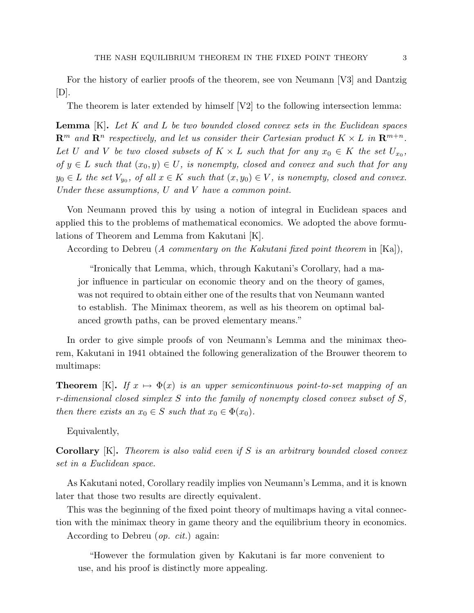For the history of earlier proofs of the theorem, see von Neumann [V3] and Dantzig  $[D]$ .

The theorem is later extended by himself  $[V2]$  to the following intersection lemma:

**Lemma**  $[K]$ . Let  $K$  and  $L$  be two bounded closed convex sets in the Euclidean spaces  $\mathbb{R}^m$  and  $\mathbb{R}^n$  respectively, and let us consider their Cartesian product  $K \times L$  in  $\mathbb{R}^{m+n}$ . Let U and V be two closed subsets of  $K \times L$  such that for any  $x_0 \in K$  the set  $U_{x_0}$ , of  $y \in L$  such that  $(x_0, y) \in U$ , is nonempty, closed and convex and such that for any  $y_0 \in L$  the set  $V_{y_0}$ , of all  $x \in K$  such that  $(x, y_0) \in V$ , is nonempty, closed and convex. Under these assumptions, U and V have a common point.

Von Neumann proved this by using a notion of integral in Euclidean spaces and applied this to the problems of mathematical economics. We adopted the above formulations of Theorem and Lemma from Kakutani [K].

According to Debreu (A commentary on the Kakutani fixed point theorem in  $[Ka]$ ),

"Ironically that Lemma, which, through Kakutani's Corollary, had a major influence in particular on economic theory and on the theory of games, was not required to obtain either one of the results that von Neumann wanted to establish. The Minimax theorem, as well as his theorem on optimal balanced growth paths, can be proved elementary means."

In order to give simple proofs of von Neumann's Lemma and the minimax theorem, Kakutani in 1941 obtained the following generalization of the Brouwer theorem to multimaps:

**Theorem** [K]. If  $x \mapsto \Phi(x)$  is an upper semicontinuous point-to-set mapping of an r-dimensional closed simplex S into the family of nonempty closed convex subset of S, then there exists an  $x_0 \in S$  such that  $x_0 \in \Phi(x_0)$ .

Equivalently,

**Corollary** [K]. Theorem is also valid even if S is an arbitrary bounded closed convex set in a Euclidean space.

As Kakutani noted, Corollary readily implies von Neumann's Lemma, and it is known later that those two results are directly equivalent.

This was the beginning of the fixed point theory of multimaps having a vital connection with the minimax theory in game theory and the equilibrium theory in economics.

According to Debreu (op. cit.) again:

"However the formulation given by Kakutani is far more convenient to use, and his proof is distinctly more appealing.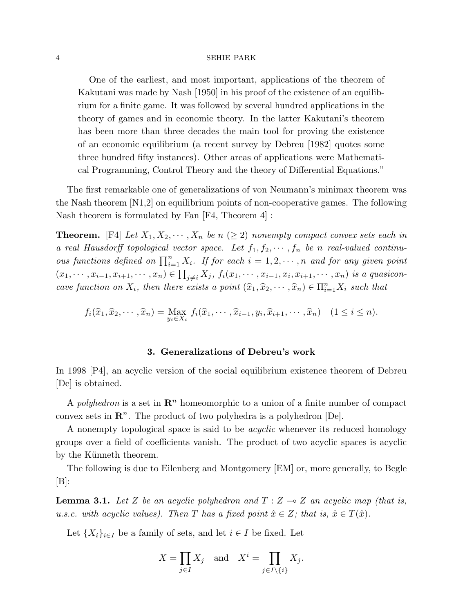One of the earliest, and most important, applications of the theorem of Kakutani was made by Nash [1950] in his proof of the existence of an equilibrium for a finite game. It was followed by several hundred applications in the theory of games and in economic theory. In the latter Kakutani's theorem has been more than three decades the main tool for proving the existence of an economic equilibrium (a recent survey by Debreu [1982] quotes some three hundred fifty instances). Other areas of applications were Mathematical Programming, Control Theory and the theory of Differential Equations."

The first remarkable one of generalizations of von Neumann's minimax theorem was the Nash theorem [N1,2] on equilibrium points of non-cooperative games. The following Nash theorem is formulated by Fan [F4, Theorem 4] :

**Theorem.** [F4] Let  $X_1, X_2, \dots, X_n$  be  $n \geq 2$  nonempty compact convex sets each in a real Hausdorff topological vector space. Let  $f_1, f_2, \cdots, f_n$  be n real-valued continuous functions defined on  $\prod_{i=1}^{n} X_i$ . If for each  $i = 1, 2, \dots, n$  and for any given point  $(x_1, \dots, x_{i-1}, x_{i+1}, \dots, x_n) \in \prod_{j \neq i} X_j$ ,  $f_i(x_1, \dots, x_{i-1}, x_i, x_{i+1}, \dots, x_n)$  is a quasiconcave function on  $X_i$ , then there exists a point  $(\widehat{x}_1, \widehat{x}_2, \dots, \widehat{x}_n) \in \Pi_{i=1}^n X_i$  such that

$$
f_i(\widehat{x}_1, \widehat{x}_2, \cdots, \widehat{x}_n) = \max_{y_i \in X_i} f_i(\widehat{x}_1, \cdots, \widehat{x}_{i-1}, y_i, \widehat{x}_{i+1}, \cdots, \widehat{x}_n) \quad (1 \le i \le n).
$$

# 3. Generalizations of Debreu's work

In 1998 [P4], an acyclic version of the social equilibrium existence theorem of Debreu [De] is obtained.

A polyhedron is a set in  $\mathbb{R}^n$  homeomorphic to a union of a finite number of compact convex sets in  $\mathbb{R}^n$ . The product of two polyhedra is a polyhedron  $[De]$ .

A nonempty topological space is said to be *acyclic* whenever its reduced homology groups over a field of coefficients vanish. The product of two acyclic spaces is acyclic by the Künneth theorem.

The following is due to Eilenberg and Montgomery [EM] or, more generally, to Begle  $[B]:$ 

**Lemma 3.1.** Let Z be an acyclic polyhedron and  $T : Z \rightarrow Z$  an acyclic map (that is, u.s.c. with acyclic values). Then T has a fixed point  $\hat{x} \in Z$ ; that is,  $\hat{x} \in T(\hat{x})$ .

Let  $\{X_i\}_{i\in I}$  be a family of sets, and let  $i \in I$  be fixed. Let

$$
X = \prod_{j \in I} X_j \quad \text{and} \quad X^i = \prod_{j \in I \setminus \{i\}} X_j.
$$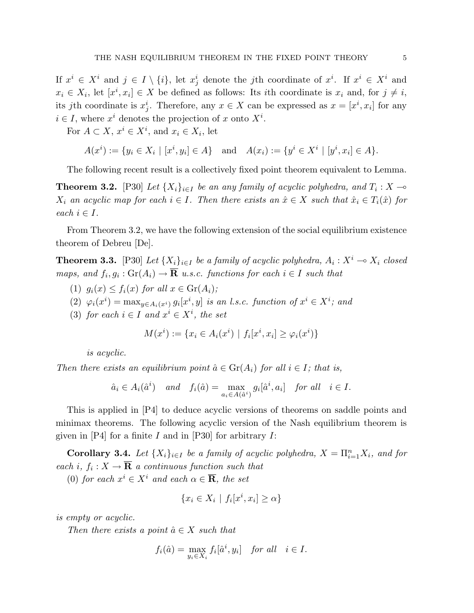If  $x^i \in X^i$  and  $j \in I \setminus \{i\}$ , let  $x_j^i$  denote the *j*th coordinate of  $x^i$ . If  $x^i \in X^i$  and  $x_i \in X_i$ , let  $[x^i, x_i] \in X$  be defined as follows: Its *i*th coordinate is  $x_i$  and, for  $j \neq i$ , its jth coordinate is  $x_j^i$ . Therefore, any  $x \in X$  can be expressed as  $x = [x^i, x_i]$  for any  $i \in I$ , where  $x^i$  denotes the projection of x onto  $X^i$ .

For  $A \subset X$ ,  $x^i \in X^i$ , and  $x_i \in X_i$ , let

$$
A(x^{i}) := \{ y_{i} \in X_{i} \mid [x^{i}, y_{i}] \in A \} \text{ and } A(x_{i}) := \{ y^{i} \in X^{i} \mid [y^{i}, x_{i}] \in A \}.
$$

The following recent result is a collectively fixed point theorem equivalent to Lemma.

**Theorem 3.2.** [P30] Let  $\{X_i\}_{i\in I}$  be an any family of acyclic polyhedra, and  $T_i: X \to$  $X_i$  an acyclic map for each  $i \in I$ . Then there exists an  $\hat{x} \in X$  such that  $\hat{x}_i \in T_i(\hat{x})$  for each  $i \in I$ .

From Theorem 3.2, we have the following extension of the social equilibrium existence theorem of Debreu [De].

**Theorem 3.3.** [P30] Let  $\{X_i\}_{i\in I}$  be a family of acyclic polyhedra,  $A_i: X^i \to X_i$  closed maps, and  $f_i, g_i : \text{Gr}(A_i) \to \overline{\mathbf{R}}$  u.s.c. functions for each  $i \in I$  such that

- (1)  $g_i(x) \leq f_i(x)$  for all  $x \in \text{Gr}(A_i)$ ;
- (2)  $\varphi_i(x^i) = \max_{y \in A_i(x^i)} g_i[x^i, y]$  is an l.s.c. function of  $x^i \in X^i$ ; and
- (3) for each  $i \in I$  and  $x^i \in X^i$ , the set

$$
M(x^{i}) := \{ x_{i} \in A_{i}(x^{i}) \mid f_{i}[x^{i}, x_{i}] \geq \varphi_{i}(x^{i}) \}
$$

is acyclic.

Then there exists an equilibrium point  $\hat{a} \in \text{Gr}(A_i)$  for all  $i \in I$ ; that is,

$$
\hat{a}_i \in A_i(\hat{a}^i) \quad and \quad f_i(\hat{a}) = \max_{a_i \in A(\hat{a}^i)} g_i[\hat{a}^i, a_i] \quad \text{for all} \quad i \in I.
$$

This is applied in [P4] to deduce acyclic versions of theorems on saddle points and minimax theorems. The following acyclic version of the Nash equilibrium theorem is given in  $[P4]$  for a finite I and in  $[P30]$  for arbitrary I:

**Corollary 3.4.** Let  $\{X_i\}_{i\in I}$  be a family of acyclic polyhedra,  $X = \prod_{i=1}^n X_i$ , and for each i,  $f_i: X \to \overline{\mathbf{R}}$  a continuous function such that

(0) for each  $x^i \in X^i$  and each  $\alpha \in \overline{\mathbf{R}}$ , the set

$$
\{x_i \in X_i \mid f_i[x^i, x_i] \ge \alpha\}
$$

is empty or acyclic.

Then there exists a point  $\hat{a} \in X$  such that

$$
f_i(\hat{a}) = \max_{y_i \in X_i} f_i[\hat{a}^i, y_i] \quad \text{for all} \quad i \in I.
$$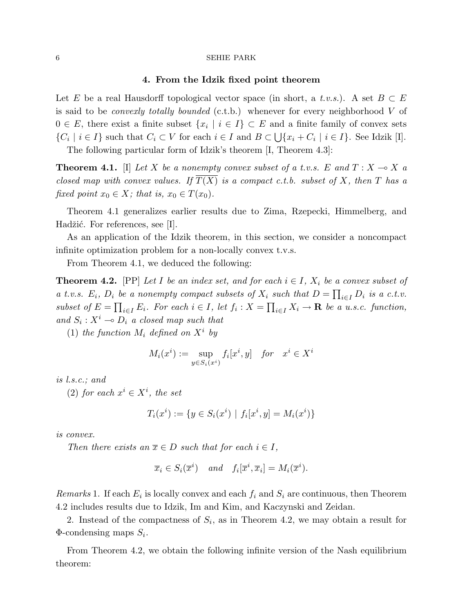## 4. From the Idzik fixed point theorem

Let E be a real Hausdorff topological vector space (in short, a t.v.s.). A set  $B \subset E$ is said to be *convexly totally bounded* (c.t.b.) whenever for every neighborhood  $V$  of  $0 \in E$ , there exist a finite subset  $\{x_i \mid i \in I\} \subset E$  and a finite family of convex sets  $\{C_i \mid i \in I\}$  such that  $C_i \subset V$  for each  $i \in I$  and  $B \subset \bigcup \{x_i + C_i \mid i \in I\}$ . See Idzik [I].

The following particular form of Idzik's theorem [I, Theorem 4.3]:

**Theorem 4.1.** [I] Let X be a nonempty convex subset of a t.v.s. E and  $T : X \rightarrow X$  a closed map with convex values. If  $\overline{T(X)}$  is a compact c.t.b. subset of X, then T has a fixed point  $x_0 \in X$ ; that is,  $x_0 \in T(x_0)$ .

Theorem 4.1 generalizes earlier results due to Zima, Rzepecki, Himmelberg, and Hadžić. For references, see [I].

As an application of the Idzik theorem, in this section, we consider a noncompact infinite optimization problem for a non-locally convex t.v.s.

From Theorem 4.1, we deduced the following:

**Theorem 4.2.** [PP] Let I be an index set, and for each  $i \in I$ ,  $X_i$  be a convex subset of a t.v.s.  $E_i$ ,  $D_i$  be a nonempty compact subsets of  $X_i$  such that  $D = \prod_{i \in I} D_i$  is a c.t.v. subset of  $E = \prod_{i \in I} E_i$ . For each  $i \in I$ , let  $f_i : X = \prod_{i \in I} X_i \to \mathbf{R}$  be a u.s.c. function, and  $S_i: X^i \longrightarrow D_i$  a closed map such that

(1) the function  $M_i$  defined on  $X^i$  by

$$
M_i(x^i) := \sup_{y \in S_i(x^i)} f_i[x^i, y] \quad \text{for} \quad x^i \in X^i
$$

is l.s.c.; and

(2) for each  $x^i \in X^i$ , the set

$$
T_i(x^i) := \{ y \in S_i(x^i) \mid f_i[x^i, y] = M_i(x^i) \}
$$

is convex.

Then there exists an  $\overline{x} \in D$  such that for each  $i \in I$ ,

$$
\overline{x}_i \in S_i(\overline{x}^i)
$$
 and  $f_i[\overline{x}^i, \overline{x}_i] = M_i(\overline{x}^i)$ .

Remarks 1. If each  $E_i$  is locally convex and each  $f_i$  and  $S_i$  are continuous, then Theorem 4.2 includes results due to Idzik, Im and Kim, and Kaczynski and Zeidan.

2. Instead of the compactness of  $S_i$ , as in Theorem 4.2, we may obtain a result for  $\Phi$ -condensing maps  $S_i$ .

From Theorem 4.2, we obtain the following infinite version of the Nash equilibrium theorem: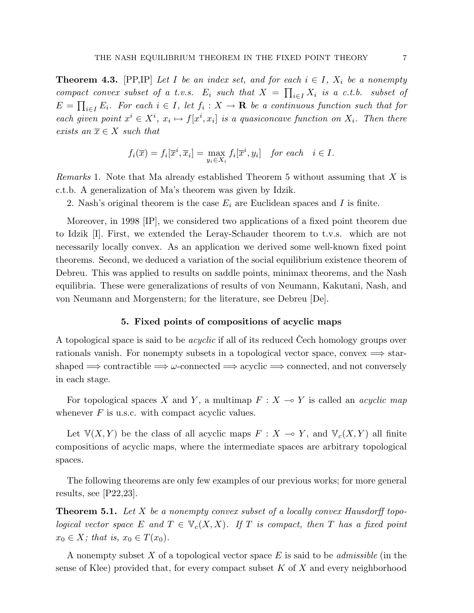**Theorem 4.3.** [PP,IP] Let I be an index set, and for each  $i \in I$ ,  $X_i$  be a nonempty compact convex subset of a t.v.s.  $E_i$  such that  $X =$  $\frac{C}{\mathbf{L}^{\mathbf{T}}}$ <sup>i</sup>∈<sup>I</sup> X<sup>i</sup> is a c.t.b. subset of Q  $E = \prod_{i \in I} E_i$ . For each  $i \in I$ , let  $f_i : X \to \mathbf{R}$  be a continuous function such that for each given point  $x^i \in X^i$ ,  $x_i \mapsto f[x^i, x_i]$  is a quasiconcave function on  $X_i$ . Then there exists an  $\overline{x} \in X$  such that

$$
f_i(\overline{x}) = f_i[\overline{x}^i, \overline{x}_i] = \max_{y_i \in X_i} f_i[\overline{x}^i, y_i] \text{ for each } i \in I.
$$

Remarks 1. Note that Ma already established Theorem 5 without assuming that X is c.t.b. A generalization of Ma's theorem was given by Idzik.

2. Nash's original theorem is the case  $E_i$  are Euclidean spaces and I is finite.

Moreover, in 1998 [IP], we considered two applications of a fixed point theorem due to Idzik [I]. First, we extended the Leray-Schauder theorem to t.v.s. which are not necessarily locally convex. As an application we derived some well-known fixed point theorems. Second, we deduced a variation of the social equilibrium existence theorem of Debreu. This was applied to results on saddle points, minimax theorems, and the Nash equilibria. These were generalizations of results of von Neumann, Kakutani, Nash, and von Neumann and Morgenstern; for the literature, see Debreu [De].

# 5. Fixed points of compositions of acyclic maps

A topological space is said to be *acyclic* if all of its reduced Cech homology groups over rationals vanish. For nonempty subsets in a topological vector space, convex  $\implies$  starshaped  $\implies$  contractible  $\implies \omega$ -connected  $\implies$  acyclic  $\implies$  connected, and not conversely in each stage.

For topological spaces X and Y, a multimap  $F : X \to Y$  is called an *acyclic map* whenever  $F$  is u.s.c. with compact acyclic values.

Let  $V(X, Y)$  be the class of all acyclic maps  $F : X \to Y$ , and  $V_c(X, Y)$  all finite compositions of acyclic maps, where the intermediate spaces are arbitrary topological spaces.

The following theorems are only few examples of our previous works; for more general results, see [P22,23].

**Theorem 5.1.** Let X be a nonempty convex subset of a locally convex Hausdorff topological vector space E and  $T \in \mathbb{V}_c(X,X)$ . If T is compact, then T has a fixed point  $x_0 \in X$ ; that is,  $x_0 \in T(x_0)$ .

A nonempty subset X of a topological vector space  $E$  is said to be *admissible* (in the sense of Klee) provided that, for every compact subset  $K$  of  $X$  and every neighborhood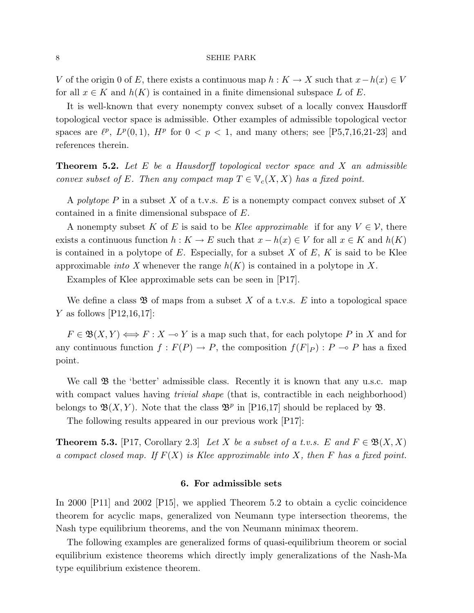V of the origin 0 of E, there exists a continuous map  $h: K \to X$  such that  $x-h(x) \in V$ for all  $x \in K$  and  $h(K)$  is contained in a finite dimensional subspace L of E.

It is well-known that every nonempty convex subset of a locally convex Hausdorff topological vector space is admissible. Other examples of admissible topological vector spaces are  $\ell^p$ ,  $L^p(0,1)$ ,  $H^p$  for  $0 < p < 1$ , and many others; see [P5,7,16,21-23] and references therein.

**Theorem 5.2.** Let  $E$  be a Hausdorff topological vector space and  $X$  an admissible convex subset of E. Then any compact map  $T \in V_c(X,X)$  has a fixed point.

A polytope  $P$  in a subset  $X$  of a t.v.s.  $E$  is a nonempty compact convex subset of  $X$ contained in a finite dimensional subspace of E.

A nonempty subset K of E is said to be Klee approximable if for any  $V \in \mathcal{V}$ , there exists a continuous function  $h: K \to E$  such that  $x - h(x) \in V$  for all  $x \in K$  and  $h(K)$ is contained in a polytope of E. Especially, for a subset  $X$  of  $E$ ,  $K$  is said to be Klee approximable *into* X whenever the range  $h(K)$  is contained in a polytope in X.

Examples of Klee approximable sets can be seen in [P17].

We define a class  $\mathfrak{B}$  of maps from a subset X of a t.v.s. E into a topological space Y as follows  $[P12,16,17]$ :

 $F \in \mathfrak{B}(X, Y) \Longleftrightarrow F : X \multimap Y$  is a map such that, for each polytope P in X and for any continuous function  $f : F(P) \to P$ , the composition  $f(F|_P) : P \to P$  has a fixed point.

We call  $\mathfrak B$  the 'better' admissible class. Recently it is known that any u.s.c. map with compact values having *trivial shape* (that is, contractible in each neighborhood) belongs to  $\mathfrak{B}(X,Y)$ . Note that the class  $\mathfrak{B}^p$  in [P16,17] should be replaced by  $\mathfrak{B}$ .

The following results appeared in our previous work [P17]:

**Theorem 5.3.** [P17, Corollary 2.3] Let X be a subset of a t.v.s. E and  $F \in \mathfrak{B}(X,X)$ a compact closed map. If  $F(X)$  is Klee approximable into X, then F has a fixed point.

# 6. For admissible sets

In 2000 [P11] and 2002 [P15], we applied Theorem 5.2 to obtain a cyclic coincidence theorem for acyclic maps, generalized von Neumann type intersection theorems, the Nash type equilibrium theorems, and the von Neumann minimax theorem.

The following examples are generalized forms of quasi-equilibrium theorem or social equilibrium existence theorems which directly imply generalizations of the Nash-Ma type equilibrium existence theorem.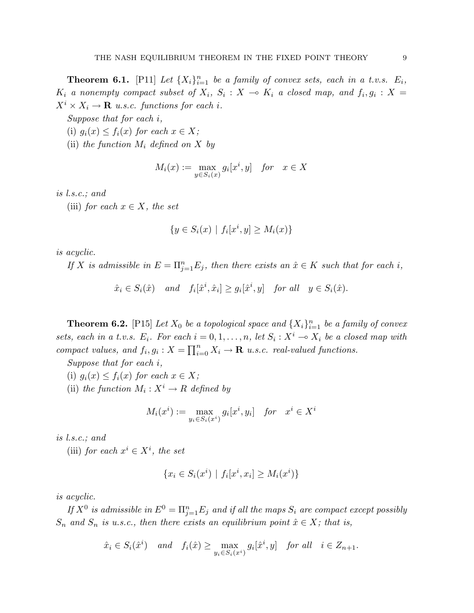**Theorem 6.1.** [P11] Let  $\{X_i\}_{i=1}^n$  be a family of convex sets, each in a t.v.s.  $E_i$ ,  $K_i$  a nonempty compact subset of  $X_i$ ,  $S_i: X \rightarrow K_i$  a closed map, and  $f_i, g_i: X =$  $X^i \times X_i \to \mathbf{R}$  u.s.c. functions for each i.

Suppose that for each i,

- (i)  $g_i(x) \leq f_i(x)$  for each  $x \in X$ ;
- (ii) the function  $M_i$  defined on X by

$$
M_i(x) := \max_{y \in S_i(x)} g_i[x^i, y] \quad \text{for} \quad x \in X
$$

is l.s.c.; and

(iii) for each  $x \in X$ , the set

$$
\{y \in S_i(x) \mid f_i[x^i, y] \ge M_i(x)\}
$$

is acyclic.

If X is admissible in  $E = \prod_{j=1}^{n} E_j$ , then there exists an  $\hat{x} \in K$  such that for each i,

 $\hat{x}_i \in S_i(\hat{x})$  and  $f_i[\hat{x}^i, \hat{x}_i] \ge g_i[\hat{x}^i, y]$  for all  $y \in S_i(\hat{x})$ .

**Theorem 6.2.** [P15] Let  $X_0$  be a topological space and  $\{X_i\}_{i=1}^n$  be a family of convex sets, each in a t.v.s.  $E_i$ . For each  $i = 0, 1, \ldots, n$ , let  $S_i : X^i \to X_i$  be a closed map with compact values, and  $f_i, g_i: X = \prod_{i=1}^n$  $\sum_{i=0}^{n} X_i \rightarrow \mathbf{R}$  u.s.c. real-valued functions.

Suppose that for each i,

- (i)  $g_i(x) \leq f_i(x)$  for each  $x \in X$ ;
- (ii) the function  $M_i: X^i \to R$  defined by

$$
M_i(x^i) := \max_{y_i \in S_i(x^i)} g_i[x^i, y_i] \quad \text{for} \quad x^i \in X^i
$$

is l.s.c.; and

(iii) for each  $x^i \in X^i$ , the set

$$
\{x_i \in S_i(x^i) \mid f_i[x^i, x_i] \ge M_i(x^i)\}
$$

is acyclic.

If  $X^0$  is admissible in  $E^0 = \Pi_{j=1}^n E_j$  and if all the maps  $S_i$  are compact except possibly  $S_n$  and  $S_n$  is u.s.c., then there exists an equilibrium point  $\hat{x} \in X$ ; that is,

$$
\hat{x}_i \in S_i(\hat{x}^i) \quad and \quad f_i(\hat{x}) \ge \max_{y_i \in S_i(x^i)} g_i[\hat{x}^i, y] \quad \text{for all} \quad i \in Z_{n+1}.
$$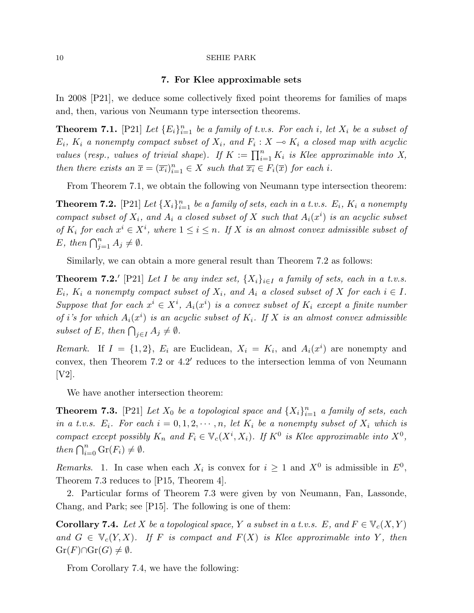#### 7. For Klee approximable sets

In 2008 [P21], we deduce some collectively fixed point theorems for families of maps and, then, various von Neumann type intersection theorems.

**Theorem 7.1.** [P21] Let  ${E_i}_{i=1}^n$  be a family of t.v.s. For each i, let  $X_i$  be a subset of  $E_i$ ,  $K_i$  a nonempty compact subset of  $X_i$ , and  $F_i: X \to K_i$  a closed map with acyclic values (resp., values of trivial shape). If  $K := \prod_{i=1}^n K_i$  is Klee approximable into X, then there exists an  $\overline{x} = (\overline{x_i})_{i=1}^n \in X$  such that  $\overline{x_i} \in F_i(\overline{x})$  for each i.

From Theorem 7.1, we obtain the following von Neumann type intersection theorem:

**Theorem 7.2.** [P21] Let  $\{X_i\}_{i=1}^n$  be a family of sets, each in a t.v.s.  $E_i$ ,  $K_i$  a nonempty compact subset of  $X_i$ , and  $A_i$  a closed subset of X such that  $A_i(x^i)$  is an acyclic subset of  $K_i$  for each  $x^i \in X^i$ , where  $1 \leq i \leq n$ . If X is an almost convex admissible subset of  $E, \text{ then } \bigcap_{j=1}^{n} A_j \neq \emptyset.$ 

Similarly, we can obtain a more general result than Theorem 7.2 as follows:

**Theorem 7.2.'** [P21] Let I be any index set,  $\{X_i\}_{i\in I}$  a family of sets, each in a t.v.s.  $E_i$ ,  $K_i$  a nonempty compact subset of  $X_i$ , and  $A_i$  a closed subset of X for each  $i \in I$ . Suppose that for each  $x^i \in X^i$ ,  $A_i(x^i)$  is a convex subset of  $K_i$  except a finite number of i's for which  $A_i(x^i)$  is an acyclic subset of  $K_i$ . If X is an almost convex admissible subset of E, then  $\bigcap_{j\in I} A_j \neq \emptyset$ .

Remark. If  $I = \{1,2\}$ ,  $E_i$  are Euclidean,  $X_i = K_i$ , and  $A_i(x^i)$  are nonempty and convex, then Theorem  $7.2$  or  $4.2'$  reduces to the intersection lemma of von Neumann [V2].

We have another intersection theorem:

**Theorem 7.3.** [P21] Let  $X_0$  be a topological space and  $\{X_i\}_{i=1}^n$  a family of sets, each in a t.v.s.  $E_i$ . For each  $i = 0, 1, 2, \dots, n$ , let  $K_i$  be a nonempty subset of  $X_i$  which is compact except possibly  $K_n$  and  $F_i \in V_c(X^i, X_i)$ . If  $K^0$  is Klee approximable into  $X^0$ , then  $\bigcap_{i=0}^n \text{Gr}(F_i) \neq \emptyset$ .

Remarks. 1. In case when each  $X_i$  is convex for  $i \geq 1$  and  $X^0$  is admissible in  $E^0$ , Theorem 7.3 reduces to [P15, Theorem 4].

2. Particular forms of Theorem 7.3 were given by von Neumann, Fan, Lassonde, Chang, and Park; see [P15]. The following is one of them:

**Corollary 7.4.** Let X be a topological space, Y a subset in a t.v.s. E, and  $F \in \mathbb{V}_c(X, Y)$ and  $G \in V_c(Y, X)$ . If F is compact and  $F(X)$  is Klee approximable into Y, then  $\mathrm{Gr}(F)\cap\mathrm{Gr}(G)\neq\emptyset.$ 

From Corollary 7.4, we have the following: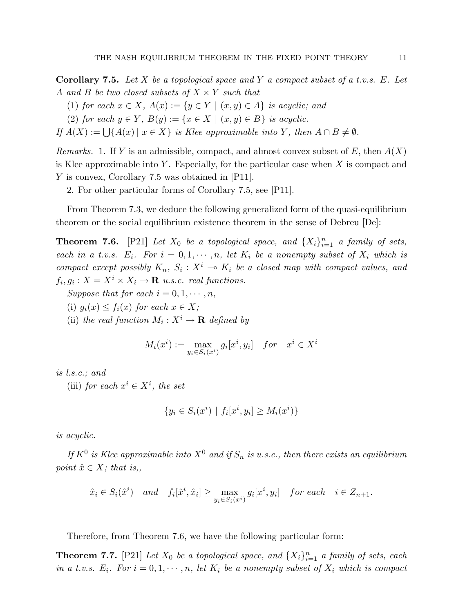**Corollary 7.5.** Let X be a topological space and Y a compact subset of a t.v.s. E. Let A and B be two closed subsets of  $X \times Y$  such that

(1) for each  $x \in X$ ,  $A(x) := \{y \in Y \mid (x, y) \in A\}$  is acyclic; and

(2) for each  $y \in Y$ ,  $B(y) := \{x \in X \mid (x, y) \in B\}$  is acyclic.

If  $A(X) := \bigcup \{A(x) \mid x \in X\}$  is Klee approximable into Y, then  $A \cap B \neq \emptyset$ .

Remarks. 1. If Y is an admissible, compact, and almost convex subset of E, then  $A(X)$ is Klee approximable into Y. Especially, for the particular case when  $X$  is compact and Y is convex, Corollary 7.5 was obtained in [P11].

2. For other particular forms of Corollary 7.5, see [P11].

From Theorem 7.3, we deduce the following generalized form of the quasi-equilibrium theorem or the social equilibrium existence theorem in the sense of Debreu [De]:

**Theorem 7.6.** [P21] Let  $X_0$  be a topological space, and  $\{X_i\}_{i=1}^n$  a family of sets, each in a t.v.s.  $E_i$ . For  $i = 0, 1, \dots, n$ , let  $K_i$  be a nonempty subset of  $X_i$  which is compact except possibly  $K_n$ ,  $S_i: X^i \to K_i$  be a closed map with compact values, and  $f_i, g_i: X = X^i \times X_i \rightarrow \mathbf{R}$  u.s.c. real functions.

Suppose that for each  $i = 0, 1, \dots, n$ ,

(i)  $g_i(x) \leq f_i(x)$  for each  $x \in X$ ;

(ii) the real function  $M_i: X^i \to \mathbf{R}$  defined by

$$
M_i(x^i) := \max_{y_i \in S_i(x^i)} g_i[x^i, y_i] \quad for \quad x^i \in X^i
$$

is l.s.c.; and

(iii) for each  $x^i \in X^i$ , the set

$$
\{y_i \in S_i(x^i) \mid f_i[x^i, y_i] \ge M_i(x^i)\}
$$

is acyclic.

If  $K^0$  is Klee approximable into  $X^0$  and if  $S_n$  is u.s.c., then there exists an equilibrium point  $\hat{x} \in X$ ; that is,,

$$
\hat{x}_i \in S_i(\hat{x}^i) \quad and \quad f_i[\hat{x}^i, \hat{x}_i] \ge \max_{y_i \in S_i(x^i)} g_i[x^i, y_i] \quad \text{for each} \quad i \in Z_{n+1}.
$$

Therefore, from Theorem 7.6, we have the following particular form:

**Theorem 7.7.** [P21] Let  $X_0$  be a topological space, and  $\{X_i\}_{i=1}^n$  a family of sets, each in a t.v.s.  $E_i$ . For  $i = 0, 1, \dots, n$ , let  $K_i$  be a nonempty subset of  $X_i$  which is compact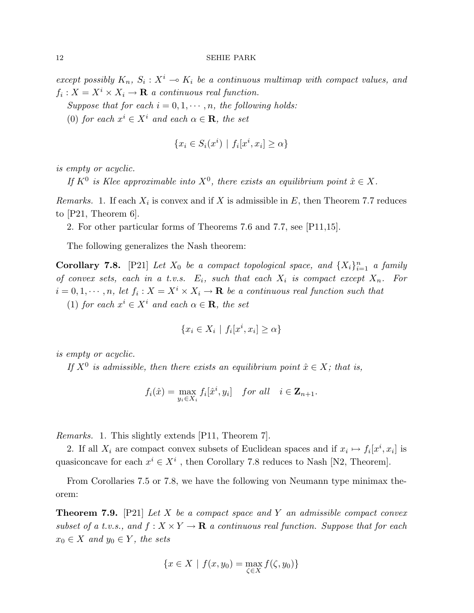except possibly  $K_n$ ,  $S_i: X^i \to K_i$  be a continuous multimap with compact values, and  $f_i: X = X^i \times X_i \rightarrow \mathbf{R}$  a continuous real function.

Suppose that for each  $i = 0, 1, \dots, n$ , the following holds:

(0) for each  $x^i \in X^i$  and each  $\alpha \in \mathbf{R}$ , the set

$$
\{x_i \in S_i(x^i) \mid f_i[x^i, x_i] \ge \alpha\}
$$

is empty or acyclic.

If  $K^0$  is Klee approximable into  $X^0$ , there exists an equilibrium point  $\hat{x} \in X$ .

Remarks. 1. If each  $X_i$  is convex and if X is admissible in E, then Theorem 7.7 reduces to [P21, Theorem 6].

2. For other particular forms of Theorems 7.6 and 7.7, see [P11,15].

The following generalizes the Nash theorem:

**Corollary 7.8.** [P21] Let  $X_0$  be a compact topological space, and  $\{X_i\}_{i=1}^n$  a family of convex sets, each in a t.v.s.  $E_i$ , such that each  $X_i$  is compact except  $X_n$ . For  $i = 0, 1, \dots, n$ , let  $f_i: X = X^i \times X_i \to \mathbf{R}$  be a continuous real function such that (1) for each  $x^i \in X^i$  and each  $\alpha \in \mathbf{R}$ , the set

$$
\{x_i \in X_i \mid f_i[x^i, x_i] \ge \alpha\}
$$

is empty or acyclic.

If  $X^0$  is admissible, then there exists an equilibrium point  $\hat{x} \in X$ ; that is,

$$
f_i(\hat{x}) = \max_{y_i \in X_i} f_i[\hat{x}^i, y_i] \quad \text{for all} \quad i \in \mathbf{Z}_{n+1}.
$$

Remarks. 1. This slightly extends [P11, Theorem 7].

2. If all  $X_i$  are compact convex subsets of Euclidean spaces and if  $x_i \mapsto f_i[x^i, x_i]$  is quasiconcave for each  $x^i \in X^i$ , then Corollary 7.8 reduces to Nash [N2, Theorem].

From Corollaries 7.5 or 7.8, we have the following von Neumann type minimax theorem:

**Theorem 7.9.** [P21] Let X be a compact space and Y an admissible compact convex subset of a t.v.s., and  $f: X \times Y \to \mathbf{R}$  a continuous real function. Suppose that for each  $x_0 \in X$  and  $y_0 \in Y$ , the sets

$$
\{x \in X \mid f(x, y_0) = \max_{\zeta \in X} f(\zeta, y_0)\}
$$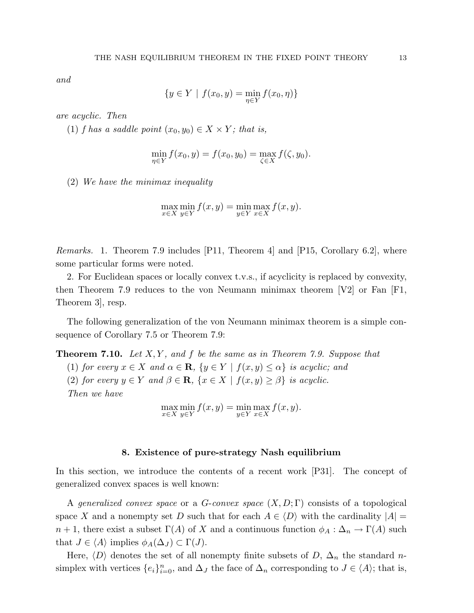and

$$
\{y \in Y \mid f(x_0, y) = \min_{\eta \in Y} f(x_0, \eta)\}
$$

are acyclic. Then

(1) f has a saddle point  $(x_0, y_0) \in X \times Y$ ; that is,

$$
\min_{\eta \in Y} f(x_0, y) = f(x_0, y_0) = \max_{\zeta \in X} f(\zeta, y_0).
$$

(2) We have the minimax inequality

$$
\max_{x \in X} \min_{y \in Y} f(x, y) = \min_{y \in Y} \max_{x \in X} f(x, y).
$$

Remarks. 1. Theorem 7.9 includes [P11, Theorem 4] and [P15, Corollary 6.2], where some particular forms were noted.

2. For Euclidean spaces or locally convex t.v.s., if acyclicity is replaced by convexity, then Theorem 7.9 reduces to the von Neumann minimax theorem  $|V2|$  or Fan  $|F1|$ , Theorem 3], resp.

The following generalization of the von Neumann minimax theorem is a simple consequence of Corollary 7.5 or Theorem 7.9:

**Theorem 7.10.** Let  $X, Y$ , and f be the same as in Theorem 7.9. Suppose that

(1) for every  $x \in X$  and  $\alpha \in \mathbf{R}$ ,  $\{y \in Y \mid f(x, y) \leq \alpha\}$  is acyclic; and (2) for every  $y \in Y$  and  $\beta \in \mathbf{R}$ ,  $\{x \in X \mid f(x, y) \geq \beta\}$  is acyclic. Then we have

$$
\max_{x \in X} \min_{y \in Y} f(x, y) = \min_{y \in Y} \max_{x \in X} f(x, y).
$$

## 8. Existence of pure-strategy Nash equilibrium

In this section, we introduce the contents of a recent work [P31]. The concept of generalized convex spaces is well known:

A generalized convex space or a G-convex space  $(X, D; \Gamma)$  consists of a topological space X and a nonempty set D such that for each  $A \in \langle D \rangle$  with the cardinality  $|A| =$  $n+1$ , there exist a subset  $\Gamma(A)$  of X and a continuous function  $\phi_A : \Delta_n \to \Gamma(A)$  such that  $J \in \langle A \rangle$  implies  $\phi_A(\Delta_J) \subset \Gamma(J)$ .

Here,  $\langle D \rangle$  denotes the set of all nonempty finite subsets of D,  $\Delta_n$  the standard nsimplex with vertices  $\{e_i\}_{i=0}^n$ , and  $\Delta_J$  the face of  $\Delta_n$  corresponding to  $J \in \langle A \rangle$ ; that is,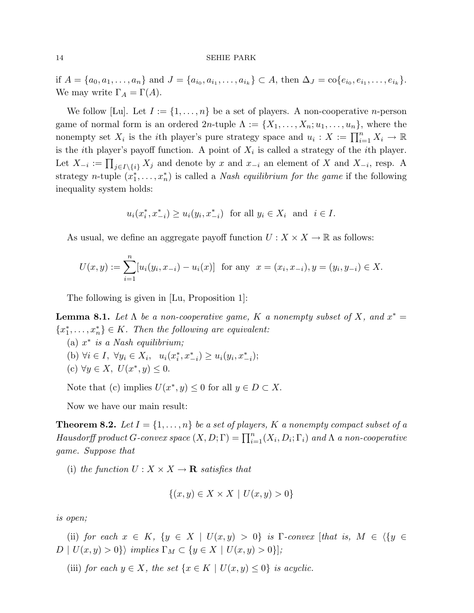if  $A = \{a_0, a_1, \ldots, a_n\}$  and  $J = \{a_{i_0}, a_{i_1}, \ldots, a_{i_k}\} \subset A$ , then  $\Delta_J = \text{co}\{e_{i_0}, e_{i_1}, \ldots, e_{i_k}\}.$ We may write  $\Gamma_A = \Gamma(A)$ .

We follow [Lu]. Let  $I := \{1, \ldots, n\}$  be a set of players. A non-cooperative *n*-person game of normal form is an ordered  $2n$ -tuple  $\Lambda := \{X_1, \ldots, X_n; u_1, \ldots, u_n\}$ , where the nonempty set  $X_i$  is the *i*th player's pure strategy space and  $u_i : X := \prod_{i=1}^n X_i \to \mathbb{R}$ is the *i*th player's payoff function. A point of  $X_i$  is called a strategy of the *i*th player. Let  $X_{-i} := \prod_{j \in I \setminus \{i\}} X_j$  and denote by x and  $x_{-i}$  an element of X and  $X_{-i}$ , resp. A strategy *n*-tuple  $(x_1^*, \ldots, x_n^*)$  is called a *Nash equilibrium for the game* if the following inequality system holds:

$$
u_i(x_i^*, x_{-i}^*) \ge u_i(y_i, x_{-i}^*)
$$
 for all  $y_i \in X_i$  and  $i \in I$ .

As usual, we define an aggregate payoff function  $U: X \times X \to \mathbb{R}$  as follows:

$$
U(x,y) := \sum_{i=1}^{n} [u_i(y_i, x_{-i}) - u_i(x)] \text{ for any } x = (x_i, x_{-i}), y = (y_i, y_{-i}) \in X.
$$

The following is given in [Lu, Proposition 1]:

**Lemma 8.1.** Let  $\Lambda$  be a non-cooperative game, K a nonempty subset of X, and  $x^* =$  ${x_1^*, \ldots, x_n^*} \in K$ . Then the following are equivalent:

- (a)  $x^*$  is a Nash equilibrium;
- (b)  $\forall i \in I, \ \forall y_i \in X_i, \ \ u_i(x_i^*, x_{-i}^*) \geq u_i(y_i, x_{-i}^*)$ ;
- (c)  $\forall y \in X, \ U(x^*, y) \leq 0.$

Note that (c) implies  $U(x^*, y) \leq 0$  for all  $y \in D \subset X$ .

Now we have our main result:

**Theorem 8.2.** Let  $I = \{1, \ldots, n\}$  be a set of players, K a nonempty compact subset of a Hausdorff product  $G$ -convex space  $(X, D; \Gamma) = \prod_{i=1}^{n} (X_i, D_i; \Gamma_i)$  and  $\Lambda$  a non-cooperative game. Suppose that

(i) the function  $U: X \times X \to \mathbf{R}$  satisfies that

$$
\{(x, y) \in X \times X \mid U(x, y) > 0\}
$$

is open;

(ii) for each  $x \in K$ ,  $\{y \in X \mid U(x,y) > 0\}$  is  $\Gamma$ -convex [that is,  $M \in \{y \in$  $D \mid U(x, y) > 0$ } implies  $\Gamma_M \subset \{y \in X \mid U(x, y) > 0\}$ ;

(iii) for each  $y \in X$ , the set  $\{x \in K \mid U(x, y) \leq 0\}$  is acyclic.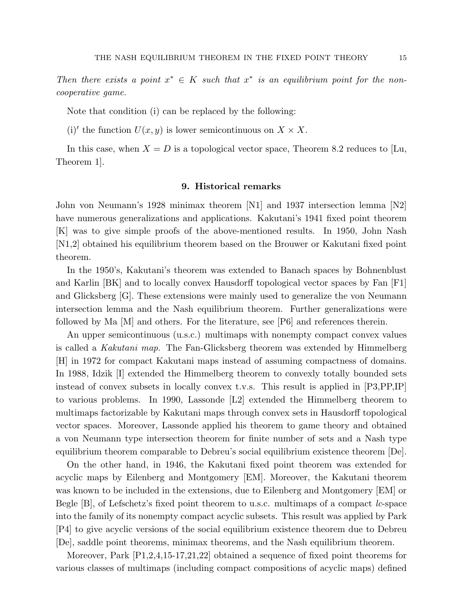Then there exists a point  $x^* \in K$  such that  $x^*$  is an equilibrium point for the noncooperative game.

Note that condition (i) can be replaced by the following:

(i)' the function  $U(x, y)$  is lower semicontinuous on  $X \times X$ .

In this case, when  $X = D$  is a topological vector space, Theorem 8.2 reduces to [Lu, Theorem 1].

# 9. Historical remarks

John von Neumann's 1928 minimax theorem [N1] and 1937 intersection lemma [N2] have numerous generalizations and applications. Kakutani's 1941 fixed point theorem [K] was to give simple proofs of the above-mentioned results. In 1950, John Nash [N1,2] obtained his equilibrium theorem based on the Brouwer or Kakutani fixed point theorem.

In the 1950's, Kakutani's theorem was extended to Banach spaces by Bohnenblust and Karlin [BK] and to locally convex Hausdorff topological vector spaces by Fan [F1] and Glicksberg [G]. These extensions were mainly used to generalize the von Neumann intersection lemma and the Nash equilibrium theorem. Further generalizations were followed by Ma [M] and others. For the literature, see [P6] and references therein.

An upper semicontinuous (u.s.c.) multimaps with nonempty compact convex values is called a Kakutani map. The Fan-Glicksberg theorem was extended by Himmelberg [H] in 1972 for compact Kakutani maps instead of assuming compactness of domains. In 1988, Idzik [I] extended the Himmelberg theorem to convexly totally bounded sets instead of convex subsets in locally convex t.v.s. This result is applied in [P3,PP,IP] to various problems. In 1990, Lassonde [L2] extended the Himmelberg theorem to multimaps factorizable by Kakutani maps through convex sets in Hausdorff topological vector spaces. Moreover, Lassonde applied his theorem to game theory and obtained a von Neumann type intersection theorem for finite number of sets and a Nash type equilibrium theorem comparable to Debreu's social equilibrium existence theorem [De].

On the other hand, in 1946, the Kakutani fixed point theorem was extended for acyclic maps by Eilenberg and Montgomery [EM]. Moreover, the Kakutani theorem was known to be included in the extensions, due to Eilenberg and Montgomery [EM] or Begle [B], of Lefschetz's fixed point theorem to u.s.c. multimaps of a compact *lc*-space into the family of its nonempty compact acyclic subsets. This result was applied by Park [P4] to give acyclic versions of the social equilibrium existence theorem due to Debreu [De], saddle point theorems, minimax theorems, and the Nash equilibrium theorem.

Moreover, Park [P1,2,4,15-17,21,22] obtained a sequence of fixed point theorems for various classes of multimaps (including compact compositions of acyclic maps) defined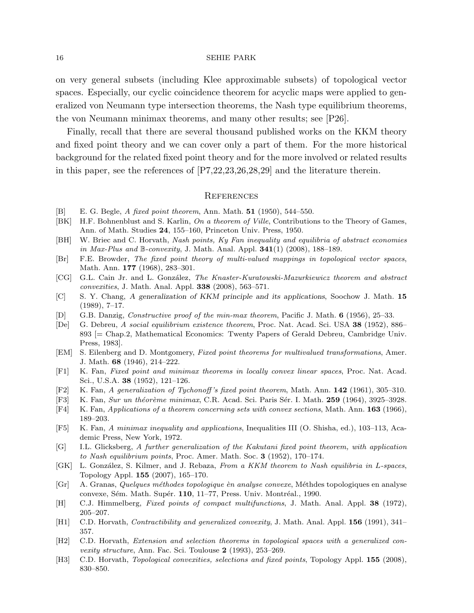on very general subsets (including Klee approximable subsets) of topological vector spaces. Especially, our cyclic coincidence theorem for acyclic maps were applied to generalized von Neumann type intersection theorems, the Nash type equilibrium theorems, the von Neumann minimax theorems, and many other results; see [P26].

Finally, recall that there are several thousand published works on the KKM theory and fixed point theory and we can cover only a part of them. For the more historical background for the related fixed point theory and for the more involved or related results in this paper, see the references of [P7,22,23,26,28,29] and the literature therein.

# **REFERENCES**

- [B] E. G. Begle, A fixed point theorem, Ann. Math. **51** (1950), 544–550.
- [BK] H.F. Bohnenblust and S. Karlin, On a theorem of Ville, Contributions to the Theory of Games, Ann. of Math. Studies 24, 155–160, Princeton Univ. Press, 1950.
- [BH] W. Briec and C. Horvath, Nash points, Ky Fan inequality and equilibria of abstract economies in Max-Plus and B-convexity, J. Math. Anal. Appl.  $341(1)$  (2008), 188–189.
- [Br] F.E. Browder, The fixed point theory of multi-valued mappings in topological vector spaces, Math. Ann. 177 (1968), 283–301.
- [CG] G.L. Cain Jr. and L. González, The Knaster-Kuratowski-Mazurkiewicz theorem and abstract convexities, J. Math. Anal. Appl. 338 (2008), 563–571.
- [C] S. Y. Chang, A generalization of KKM principle and its applications, Soochow J. Math. 15  $(1989), 7-17.$
- [D] G.B. Danzig, Constructive proof of the min-max theorem, Pacific J. Math. 6 (1956), 25–33.
- [De] G. Debreu, A social equilibrium existence theorem, Proc. Nat. Acad. Sci. USA 38 (1952), 886– 893 [= Chap.2, Mathematical Economics: Twenty Papers of Gerald Debreu, Cambridge Univ. Press, 1983].
- [EM] S. Eilenberg and D. Montgomery, Fixed point theorems for multivalued transformations, Amer. J. Math. 68 (1946), 214–222.
- [F1] K. Fan, Fixed point and minimax theorems in locally convex linear spaces, Proc. Nat. Acad. Sci., U.S.A. 38 (1952), 121–126.
- [F2] K. Fan, A generalization of Tychonoff 's fixed point theorem, Math. Ann. 142 (1961), 305–310.
- [F3] K. Fan, Sur un théorème minimax, C.R. Acad. Sci. Paris Sér. I. Math. 259 (1964), 3925–3928.
- [F4] K. Fan, Applications of a theorem concerning sets with convex sections, Math. Ann. 163 (1966), 189–203.
- [F5] K. Fan, A minimax inequality and applications, Inequalities III (O. Shisha, ed.), 103–113, Academic Press, New York, 1972.
- [G] I.L. Glicksberg, A further generalization of the Kakutani fixed point theorem, with application to Nash equilibrium points, Proc. Amer. Math. Soc. 3 (1952), 170–174.
- [GK] L. González, S. Kilmer, and J. Rebaza, From a KKM theorem to Nash equilibria in L-spaces, Topology Appl. 155 (2007), 165–170.
- [Gr] A. Granas, *Quelques méthodes topologique èn analyse convexe*, Méthdes topologiques en analyse convexe, Sém. Math. Supér. 110, 11–77, Press. Univ. Montréal., 1990.
- [H] C.J. Himmelberg, Fixed points of compact multifunctions, J. Math. Anal. Appl. 38 (1972), 205–207.
- [H1] C.D. Horvath, *Contractibility and generalized convexity*, J. Math. Anal. Appl. **156** (1991), 341– 357.
- [H2] C.D. Horvath, Extension and selection theorems in topological spaces with a generalized convexity structure, Ann. Fac. Sci. Toulouse 2 (1993), 253–269.
- [H3] C.D. Horvath, Topological convexities, selections and fixed points, Topology Appl. 155 (2008), 830–850.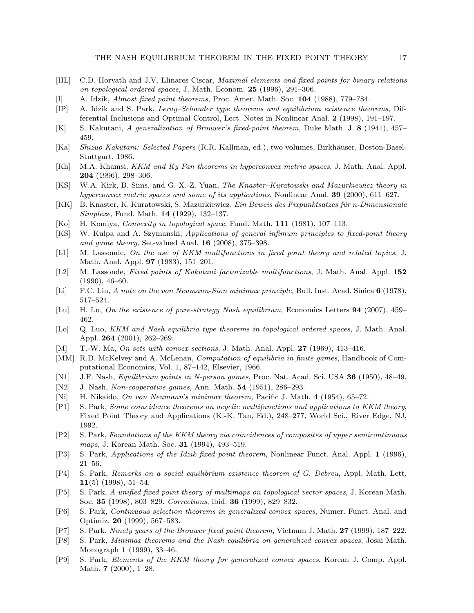- [HL] C.D. Horvath and J.V. Llinares Ciscar, Maximal elements and fixed points for binary relations on topological ordered spaces, J. Math. Econom.  $25$  (1996), 291–306.
- [I] A. Idzik, Almost fixed point theorems, Proc. Amer. Math. Soc. 104 (1988), 779–784.
- [IP] A. Idzik and S. Park, Leray–Schauder type theorems and equilibrium existence theorems, Differential Inclusions and Optimal Control, Lect. Notes in Nonlinear Anal. 2 (1998), 191–197.
- [K] S. Kakutani, A generalization of Brouwer's fixed-point theorem, Duke Math. J. 8 (1941), 457– 459.
- [Ka] Shizuo Kakutani: Selected Papers (R.R. Kallman, ed.), two volumes, Birkhäuser, Boston-Basel-Stuttgart, 1986.
- [Kh] M.A. Khamsi, KKM and Ky Fan theorems in hyperconvex metric spaces, J. Math. Anal. Appl. 204 (1996), 298–306.
- [KS] W.A. Kirk, B. Sims, and G. X.-Z. Yuan, The Knaster–Kuratowski and Mazurkiewicz theory in hyperconvex metric spaces and some of its applications, Nonlinear Anal. **39** (2000), 611–627.
- [KK] B. Knaster, K. Kuratowski, S. Mazurkiewicz, Ein Beweis des Fixpunktsatzes für n-Dimensionale Simplexe, Fund. Math. 14 (1929), 132–137.
- [Ko] H. Komiya, Convexity in topological space, Fund. Math. 111 (1981), 107–113.
- [KS] W. Kulpa and A. Szymanski, Applications of general infimum principles to fixed-point theory and game theory, Set-valued Anal. 16 (2008), 375–398.
- [L1] M. Lassonde, On the use of KKM multifunctions in fixed point theory and related topics, J. Math. Anal. Appl. 97 (1983), 151–201.
- [L2] M. Lassonde, Fixed points of Kakutani factorizable multifunctions, J. Math. Anal. Appl. 152 (1990), 46–60.
- [Li] F.C. Liu, A note on the von Neumann-Sion minimax principle, Bull. Inst. Acad. Sinica 6 (1978), 517–524.
- [Lu] H. Lu, On the existence of pure-strategy Nash equilibrium, Economics Letters 94 (2007), 459– 462.
- [Lo] Q. Luo, KKM and Nash equilibria type theorems in topological ordered spaces, J. Math. Anal. Appl. 264 (2001), 262–269.
- [M] T.-W. Ma, On sets with convex sections, J. Math. Anal. Appl. 27 (1969), 413–416.
- [MM] R.D. McKelvey and A. McLenan, *Computation of equilibria in finite games*, Handbook of Computational Economics, Vol. 1, 87–142, Elsevier, 1966.
- [N1] J.F. Nash, Equilibrium points in N-person games, Proc. Nat. Acad. Sci. USA 36 (1950), 48–49.
- [N2] J. Nash, Non-cooperative games, Ann. Math. 54 (1951), 286–293.
- [Ni] H. Nikaido, On von Neumann's minimax theorem, Pacific J. Math. 4 (1954), 65–72.
- [P1] S. Park, Some coincidence theorems on acyclic multifunctions and applications to KKM theory, Fixed Point Theory and Applications (K.-K. Tan, Ed.), 248–277, World Sci., River Edge, NJ, 1992.
- [P2] S. Park, Foundations of the KKM theory via coincidences of composites of upper semicontinuous maps, J. Korean Math. Soc. 31 (1994), 493–519.
- [P3] S. Park, Applications of the Idzik fixed point theorem, Nonlinear Funct. Anal. Appl. 1 (1996), 21–56.
- [P4] S. Park, Remarks on a social equilibrium existence theorem of G. Debreu, Appl. Math. Lett.  $11(5)$  (1998), 51–54.
- [P5] S. Park, A unified fixed point theory of multimaps on topological vector spaces, J. Korean Math. Soc. 35 (1998), 803–829. Corrections, ibid. 36 (1999), 829–832.
- [P6] S. Park, Continuous selection theorems in generalized convex spaces, Numer. Funct. Anal. and Optimiz. 20 (1999), 567–583.
- [P7] S. Park, Ninety years of the Brouwer fixed point theorem, Vietnam J. Math. 27 (1999), 187–222.
- [P8] S. Park, Minimax theorems and the Nash equilibria on generalized convex spaces, Josai Math. Monograph 1 (1999), 33–46.
- [P9] S. Park, Elements of the KKM theory for generalized convex spaces, Korean J. Comp. Appl. Math. 7 (2000), 1–28.